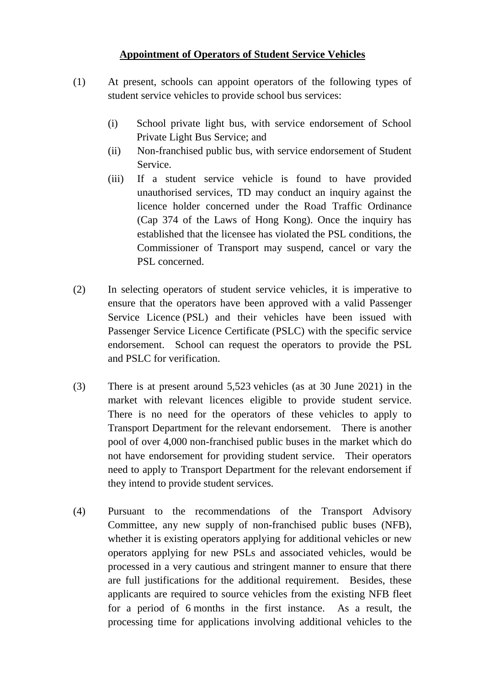# **Appointment of Operators of Student Service Vehicles**

- (1) At present, schools can appoint operators of the following types of student service vehicles to provide school bus services:
	- (i) School private light bus, with service endorsement of School Private Light Bus Service; and
	- (ii) Non-franchised public bus, with service endorsement of Student Service.
	- (iii) If a student service vehicle is found to have provided unauthorised services, TD may conduct an inquiry against the licence holder concerned under the Road Traffic Ordinance (Cap 374 of the Laws of Hong Kong). Once the inquiry has established that the licensee has violated the PSL conditions, the Commissioner of Transport may suspend, cancel or vary the PSL concerned.
- (2) In selecting operators of student service vehicles, it is imperative to ensure that the operators have been approved with a valid Passenger Service Licence (PSL) and their vehicles have been issued with Passenger Service Licence Certificate (PSLC) with the specific service endorsement. School can request the operators to provide the PSL and PSLC for verification.
- (3) There is at present around 5,523 vehicles (as at 30 June 2021) in the market with relevant licences eligible to provide student service. There is no need for the operators of these vehicles to apply to Transport Department for the relevant endorsement. There is another pool of over 4,000 non-franchised public buses in the market which do not have endorsement for providing student service. Their operators need to apply to Transport Department for the relevant endorsement if they intend to provide student services.
- (4) Pursuant to the recommendations of the Transport Advisory Committee, any new supply of non-franchised public buses (NFB), whether it is existing operators applying for additional vehicles or new operators applying for new PSLs and associated vehicles, would be processed in a very cautious and stringent manner to ensure that there are full justifications for the additional requirement. Besides, these applicants are required to source vehicles from the existing NFB fleet for a period of 6 months in the first instance. As a result, the processing time for applications involving additional vehicles to the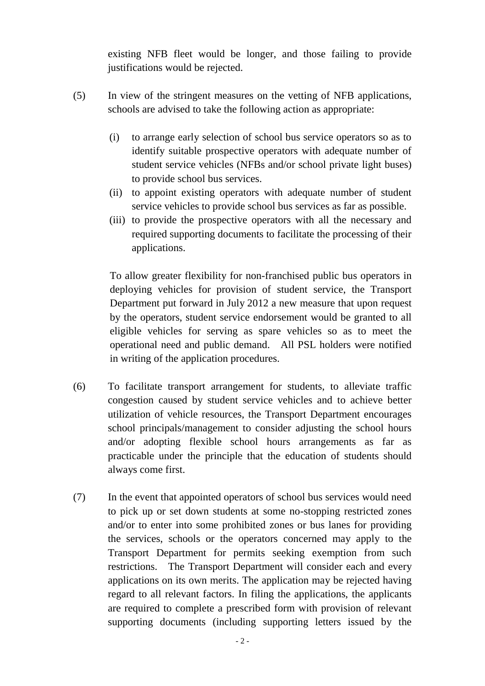existing NFB fleet would be longer, and those failing to provide justifications would be rejected.

- (5) In view of the stringent measures on the vetting of NFB applications, schools are advised to take the following action as appropriate:
	- (i) to arrange early selection of school bus service operators so as to identify suitable prospective operators with adequate number of student service vehicles (NFBs and/or school private light buses) to provide school bus services.
	- (ii) to appoint existing operators with adequate number of student service vehicles to provide school bus services as far as possible.
	- (iii) to provide the prospective operators with all the necessary and required supporting documents to facilitate the processing of their applications.

To allow greater flexibility for non-franchised public bus operators in deploying vehicles for provision of student service, the Transport Department put forward in July 2012 a new measure that upon request by the operators, student service endorsement would be granted to all eligible vehicles for serving as spare vehicles so as to meet the operational need and public demand. All PSL holders were notified in writing of the application procedures.

- (6) To facilitate transport arrangement for students, to alleviate traffic congestion caused by student service vehicles and to achieve better utilization of vehicle resources, the Transport Department encourages school principals/management to consider adjusting the school hours and/or adopting flexible school hours arrangements as far as practicable under the principle that the education of students should always come first.
- (7) In the event that appointed operators of school bus services would need to pick up or set down students at some no-stopping restricted zones and/or to enter into some prohibited zones or bus lanes for providing the services, schools or the operators concerned may apply to the Transport Department for permits seeking exemption from such restrictions. The Transport Department will consider each and every applications on its own merits. The application may be rejected having regard to all relevant factors. In filing the applications, the applicants are required to complete a prescribed form with provision of relevant supporting documents (including supporting letters issued by the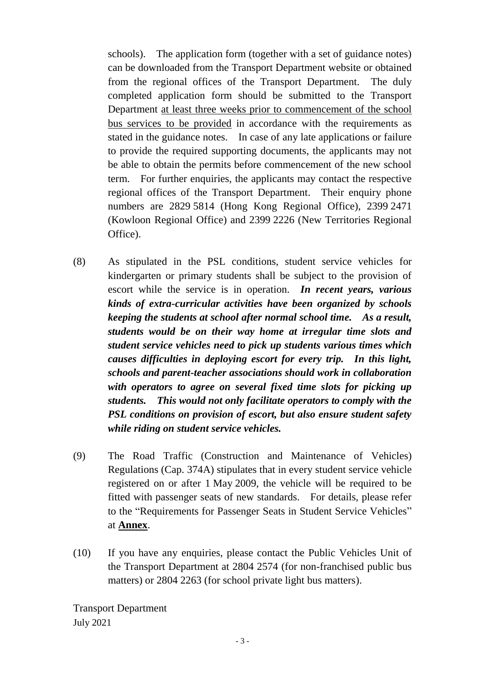schools). The application form (together with a set of guidance notes) can be downloaded from the Transport Department website or obtained from the regional offices of the Transport Department. The duly completed application form should be submitted to the Transport Department at least three weeks prior to commencement of the school bus services to be provided in accordance with the requirements as stated in the guidance notes. In case of any late applications or failure to provide the required supporting documents, the applicants may not be able to obtain the permits before commencement of the new school term. For further enquiries, the applicants may contact the respective regional offices of the Transport Department. Their enquiry phone numbers are 2829 5814 (Hong Kong Regional Office), 2399 2471 (Kowloon Regional Office) and 2399 2226 (New Territories Regional Office).

- (8) As stipulated in the PSL conditions, student service vehicles for kindergarten or primary students shall be subject to the provision of escort while the service is in operation. *In recent years, various kinds of extra-curricular activities have been organized by schools keeping the students at school after normal school time. As a result, students would be on their way home at irregular time slots and student service vehicles need to pick up students various times which causes difficulties in deploying escort for every trip. In this light, schools and parent-teacher associations should work in collaboration with operators to agree on several fixed time slots for picking up students. This would not only facilitate operators to comply with the PSL conditions on provision of escort, but also ensure student safety while riding on student service vehicles.*
- (9) The Road Traffic (Construction and Maintenance of Vehicles) Regulations (Cap. 374A) stipulates that in every student service vehicle registered on or after 1 May 2009, the vehicle will be required to be fitted with passenger seats of new standards. For details, please refer to the "Requirements for Passenger Seats in Student Service Vehicles" at **Annex**.
- (10) If you have any enquiries, please contact the Public Vehicles Unit of the Transport Department at 2804 2574 (for non-franchised public bus matters) or 2804 2263 (for school private light bus matters).

Transport Department July 2021